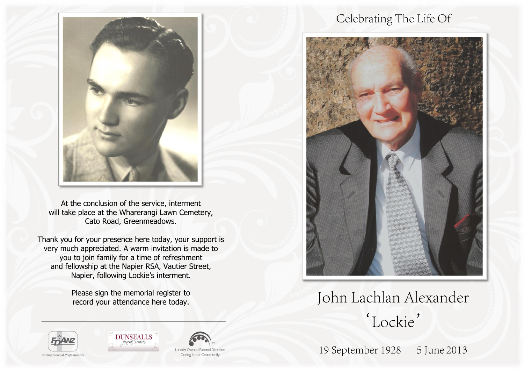

At the conclusion of the service, interment will take place at the Wharerangi Lawn Cemetery, Cato Road, Greenmeadows.

Thank you for your presence here today, your support is very much appreciated. A warm invitation is made to you to join family for a time of refreshment and fellowship at the Napier RSA, Vautier Street, Napier, following Lockie's interment.

> Please sign the memorial register to record your attendance here today.





# John Lachlan Alexander 'Lockie'

19 September 1928 - 5 June 2013